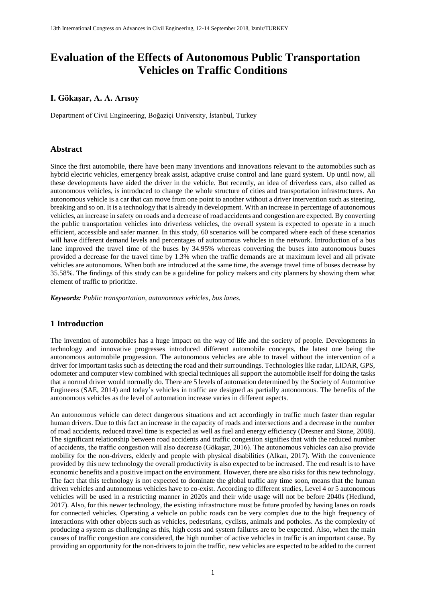# **Evaluation of the Effects of Autonomous Public Transportation Vehicles on Traffic Conditions**

### **I. Gökaşar, A. A. Arısoy**

Department of Civil Engineering, Boğaziçi University, İstanbul, Turkey

### **Abstract**

Since the first automobile, there have been many inventions and innovations relevant to the automobiles such as hybrid electric vehicles, emergency break assist, adaptive cruise control and lane guard system. Up until now, all these developments have aided the driver in the vehicle. But recently, an idea of driverless cars, also called as autonomous vehicles, is introduced to change the whole structure of cities and transportation infrastructures. An autonomous vehicle is a car that can move from one point to another without a driver intervention such as steering, breaking and so on. It is a technology that is already in development. With an increase in percentage of autonomous vehicles, an increase in safety on roads and a decrease of road accidents and congestion are expected. By converting the public transportation vehicles into driverless vehicles, the overall system is expected to operate in a much efficient, accessible and safer manner. In this study, 60 scenarios will be compared where each of these scenarios will have different demand levels and percentages of autonomous vehicles in the network. Introduction of a bus lane improved the travel time of the buses by 34.95% whereas converting the buses into autonomous buses provided a decrease for the travel time by 1.3% when the traffic demands are at maximum level and all private vehicles are autonomous. When both are introduced at the same time, the average travel time of buses decrease by 35.58%. The findings of this study can be a guideline for policy makers and city planners by showing them what element of traffic to prioritize.

*Keywords: Public transportation, autonomous vehicles, bus lanes.*

### **1 Introduction**

The invention of automobiles has a huge impact on the way of life and the society of people. Developments in technology and innovative progresses introduced different automobile concepts, the latest one being the autonomous automobile progression. The autonomous vehicles are able to travel without the intervention of a driver for important tasks such as detecting the road and their surroundings. Technologies like radar, LIDAR, GPS, odometer and computer view combined with special techniques all support the automobile itself for doing the tasks that a normal driver would normally do. There are 5 levels of automation determined by the Society of Automotive Engineers (SAE, 2014) and today's vehicles in traffic are designed as partially autonomous. The benefits of the autonomous vehicles as the level of automation increase varies in different aspects.

An autonomous vehicle can detect dangerous situations and act accordingly in traffic much faster than regular human drivers. Due to this fact an increase in the capacity of roads and intersections and a decrease in the number of road accidents, reduced travel time is expected as well as fuel and energy efficiency (Dresner and Stone, 2008). The significant relationship between road accidents and traffic congestion signifies that with the reduced number of accidents, the traffic congestion will also decrease (Gökaşar, 2016). The autonomous vehicles can also provide mobility for the non-drivers, elderly and people with physical disabilities (Alkan, 2017). With the convenience provided by this new technology the overall productivity is also expected to be increased. The end result is to have economic benefits and a positive impact on the environment. However, there are also risks for this new technology. The fact that this technology is not expected to dominate the global traffic any time soon, means that the human driven vehicles and autonomous vehicles have to co-exist. According to different studies, Level 4 or 5 autonomous vehicles will be used in a restricting manner in 2020s and their wide usage will not be before 2040s (Hedlund, 2017). Also, for this newer technology, the existing infrastructure must be future proofed by having lanes on roads for connected vehicles. Operating a vehicle on public roads can be very complex due to the high frequency of interactions with other objects such as vehicles, pedestrians, cyclists, animals and potholes. As the complexity of producing a system as challenging as this, high costs and system failures are to be expected. Also, when the main causes of traffic congestion are considered, the high number of active vehicles in traffic is an important cause. By providing an opportunity for the non-drivers to join the traffic, new vehicles are expected to be added to the current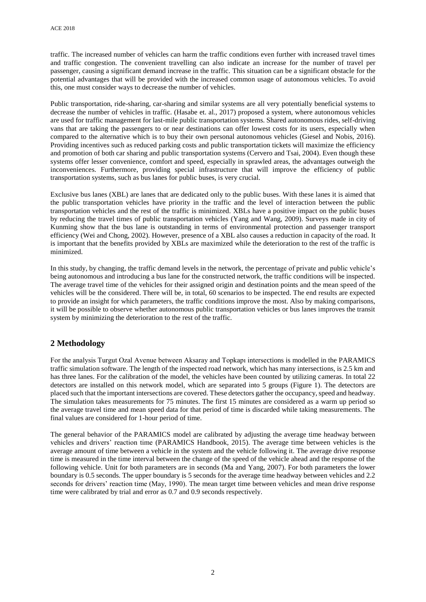traffic. The increased number of vehicles can harm the traffic conditions even further with increased travel times and traffic congestion. The convenient travelling can also indicate an increase for the number of travel per passenger, causing a significant demand increase in the traffic. This situation can be a significant obstacle for the potential advantages that will be provided with the increased common usage of autonomous vehicles. To avoid this, one must consider ways to decrease the number of vehicles.

Public transportation, ride-sharing, car-sharing and similar systems are all very potentially beneficial systems to decrease the number of vehicles in traffic. (Hasabe et. al., 2017) proposed a system, where autonomous vehicles are used for traffic management for last-mile public transportation systems. Shared autonomous rides, self-driving vans that are taking the passengers to or near destinations can offer lowest costs for its users, especially when compared to the alternative which is to buy their own personal autonomous vehicles (Giesel and Nobis, 2016). Providing incentives such as reduced parking costs and public transportation tickets will maximize the efficiency and promotion of both car sharing and public transportation systems (Cervero and Tsai, 2004). Even though these systems offer lesser convenience, comfort and speed, especially in sprawled areas, the advantages outweigh the inconveniences. Furthermore, providing special infrastructure that will improve the efficiency of public transportation systems, such as bus lanes for public buses, is very crucial.

Exclusive bus lanes (XBL) are lanes that are dedicated only to the public buses. With these lanes it is aimed that the public transportation vehicles have priority in the traffic and the level of interaction between the public transportation vehicles and the rest of the traffic is minimized. XBLs have a positive impact on the public buses by reducing the travel times of public transportation vehicles (Yang and Wang, 2009). Surveys made in city of Kunming show that the bus lane is outstanding in terms of environmental protection and passenger transport efficiency (Wei and Chong, 2002). However, presence of a XBL also causes a reduction in capacity of the road. It is important that the benefits provided by XBLs are maximized while the deterioration to the rest of the traffic is minimized.

In this study, by changing, the traffic demand levels in the network, the percentage of private and public vehicle's being autonomous and introducing a bus lane for the constructed network, the traffic conditions will be inspected. The average travel time of the vehicles for their assigned origin and destination points and the mean speed of the vehicles will be the considered. There will be, in total, 60 scenarios to be inspected. The end results are expected to provide an insight for which parameters, the traffic conditions improve the most. Also by making comparisons, it will be possible to observe whether autonomous public transportation vehicles or bus lanes improves the transit system by minimizing the deterioration to the rest of the traffic.

## **2 Methodology**

For the analysis Turgut Ozal Avenue between Aksaray and Topkapı intersections is modelled in the PARAMICS traffic simulation software. The length of the inspected road network, which has many intersections, is 2.5 km and has three lanes. For the calibration of the model, the vehicles have been counted by utilizing cameras. In total 22 detectors are installed on this network model, which are separated into 5 groups (Figure 1). The detectors are placed such that the important intersections are covered. These detectors gather the occupancy, speed and headway. The simulation takes measurements for 75 minutes. The first 15 minutes are considered as a warm up period so the average travel time and mean speed data for that period of time is discarded while taking measurements. The final values are considered for 1-hour period of time.

The general behavior of the PARAMICS model are calibrated by adjusting the average time headway between vehicles and drivers' reaction time (PARAMICS Handbook, 2015). The average time between vehicles is the average amount of time between a vehicle in the system and the vehicle following it. The average drive response time is measured in the time interval between the change of the speed of the vehicle ahead and the response of the following vehicle. Unit for both parameters are in seconds (Ma and Yang, 2007). For both parameters the lower boundary is 0.5 seconds. The upper boundary is 5 seconds for the average time headway between vehicles and 2.2 seconds for drivers' reaction time (May, 1990). The mean target time between vehicles and mean drive response time were calibrated by trial and error as 0.7 and 0.9 seconds respectively.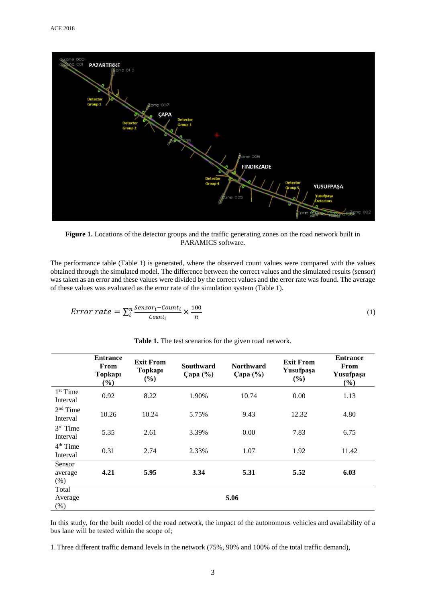

Figure 1. Locations of the detector groups and the traffic generating zones on the road network built in PARAMICS software.

The performance table (Table 1) is generated, where the observed count values were compared with the values obtained through the simulated model. The difference between the correct values and the simulated results (sensor) was taken as an error and these values were divided by the correct values and the error rate was found. The average of these values was evaluated as the error rate of the simulation system (Table 1).

$$
Error\ rate = \sum_{i}^{n} \frac{Sensor_i - Count_i}{Count_i} \times \frac{100}{n}
$$
 (1)

|                                  | <b>Entrance</b><br>From<br>Topkapı<br>(%) | <b>Exit From</b><br>Topkapı<br>(%) | <b>Southward</b><br>Çapa $(\% )$ | <b>Northward</b><br>Capa (%) | <b>Exit From</b><br>Yusufpaşa<br>(%) | <b>Entrance</b><br>From<br>Yusufpaşa<br>(%) |
|----------------------------------|-------------------------------------------|------------------------------------|----------------------------------|------------------------------|--------------------------------------|---------------------------------------------|
| 1 <sup>st</sup> Time<br>Interval | 0.92                                      | 8.22                               | 1.90%                            | 10.74                        | 0.00                                 | 1.13                                        |
| $2nd$ Time<br>Interval           | 10.26                                     | 10.24                              | 5.75%                            | 9.43                         | 12.32                                | 4.80                                        |
| $3rd$ Time<br>Interval           | 5.35                                      | 2.61                               | 3.39%                            | 0.00                         | 7.83                                 | 6.75                                        |
| 4 <sup>th</sup> Time<br>Interval | 0.31                                      | 2.74                               | 2.33%                            | 1.07                         | 1.92                                 | 11.42                                       |
| Sensor<br>average<br>(% )        | 4.21                                      | 5.95                               | 3.34                             | 5.31                         | 5.52                                 | 6.03                                        |
| Total<br>Average<br>$(\%)$       |                                           |                                    |                                  | 5.06                         |                                      |                                             |

**Table 1.** The test scenarios for the given road network.

In this study, for the built model of the road network, the impact of the autonomous vehicles and availability of a bus lane will be tested within the scope of;

1.Three different traffic demand levels in the network (75%, 90% and 100% of the total traffic demand),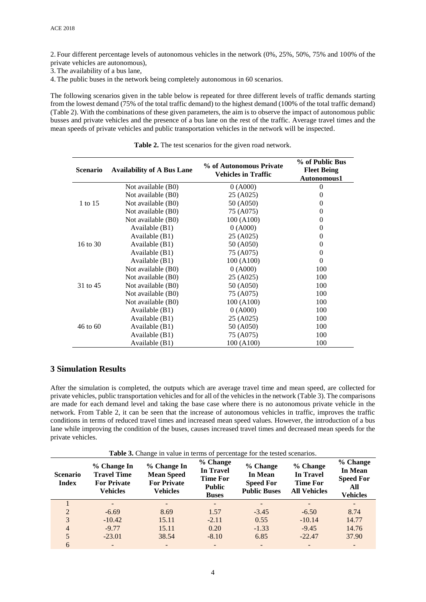2. Four different percentage levels of autonomous vehicles in the network (0%, 25%, 50%, 75% and 100% of the private vehicles are autonomous),

3.The availability of a bus lane,

4.The public buses in the network being completely autonomous in 60 scenarios.

The following scenarios given in the table below is repeated for three different levels of traffic demands starting from the lowest demand (75% of the total traffic demand) to the highest demand (100% of the total traffic demand) (Table 2). With the combinations of these given parameters, the aim is to observe the impact of autonomous public busses and private vehicles and the presence of a bus lane on the rest of the traffic. Average travel times and the mean speeds of private vehicles and public transportation vehicles in the network will be inspected.

| <b>Scenario</b> | <b>Availability of A Bus Lane</b> | % of Autonomous Private<br><b>Vehicles in Traffic</b> | % of Public Bus<br><b>Fleet Being</b><br>Autonomous1 |  |
|-----------------|-----------------------------------|-------------------------------------------------------|------------------------------------------------------|--|
| 1 to 15         | Not available (B0)                | 0(A000)                                               | $\theta$                                             |  |
|                 | Not available (B0)                | 25 (A025)                                             | 0                                                    |  |
|                 | Not available (B0)                | 50 (A050)                                             | 0                                                    |  |
|                 | Not available (B0)                | 75 (A075)                                             | 0                                                    |  |
|                 | Not available (B0)                | 100(A100)                                             | 0                                                    |  |
|                 | Available (B1)                    | 0(A000)                                               | $\theta$                                             |  |
|                 | Available $(B1)$                  | 25 (A025)                                             | 0                                                    |  |
| 16 to 30        | Available $(B1)$                  | 50 (A050)                                             | 0                                                    |  |
|                 | Available (B1)                    | 75 (A075)                                             | 0                                                    |  |
|                 | Available $(B1)$                  | 100 (A100)                                            | $\Omega$                                             |  |
|                 | Not available (B0)                | $0($ A000 $)$                                         | 100                                                  |  |
|                 | Not available (B0)                | 25 (A025)                                             | 100                                                  |  |
| 31 to 45        | Not available (B0)                | 50 (A050)                                             | 100                                                  |  |
|                 | Not available (B0)                | 75 (A075)                                             | 100                                                  |  |
|                 | Not available (B0)                | 100 (A100)                                            | 100                                                  |  |
| 46 to 60        | Available (B1)                    | 0(A000)                                               | 100                                                  |  |
|                 | Available $(B1)$                  | 25 (A025)                                             | 100                                                  |  |
|                 | Available $(B1)$                  | 50 (A050)                                             | 100                                                  |  |
|                 | Available $(B1)$                  | 75 (A075)                                             | 100                                                  |  |
|                 | Available (B1)                    | 100 (A100)                                            | 100                                                  |  |

**Table 2.** The test scenarios for the given road network.

### **3 Simulation Results**

After the simulation is completed, the outputs which are average travel time and mean speed, are collected for private vehicles, public transportation vehicles and for all of the vehicles in the network (Table 3). The comparisons are made for each demand level and taking the base case where there is no autonomous private vehicle in the network. From Table 2, it can be seen that the increase of autonomous vehicles in traffic, improves the traffic conditions in terms of reduced travel times and increased mean speed values. However, the introduction of a bus lane while improving the condition of the buses, causes increased travel times and decreased mean speeds for the private vehicles.

**Table 3.** Change in value in terms of percentage for the tested scenarios.

| <b>Scenario</b><br><b>Index</b> | % Change In<br><b>Travel Time</b><br><b>For Private</b><br><b>Vehicles</b> | % Change In<br><b>Mean Speed</b><br><b>For Private</b><br>Vehicles | % Change<br><b>In Travel</b><br><b>Time For</b><br><b>Public</b><br><b>Buses</b> | % Change<br>In Mean<br><b>Speed For</b><br><b>Public Buses</b> | % Change<br><b>In Travel</b><br><b>Time For</b><br><b>All Vehicles</b> | % Change<br>In Mean<br><b>Speed For</b><br>All<br><b>Vehicles</b> |
|---------------------------------|----------------------------------------------------------------------------|--------------------------------------------------------------------|----------------------------------------------------------------------------------|----------------------------------------------------------------|------------------------------------------------------------------------|-------------------------------------------------------------------|
|                                 |                                                                            |                                                                    |                                                                                  |                                                                |                                                                        |                                                                   |
| 2                               | $-6.69$                                                                    | 8.69                                                               | 1.57                                                                             | $-3.45$                                                        | $-6.50$                                                                | 8.74                                                              |
| 3                               | $-10.42$                                                                   | 15.11                                                              | $-2.11$                                                                          | 0.55                                                           | $-10.14$                                                               | 14.77                                                             |
| $\overline{4}$                  | $-9.77$                                                                    | 15.11                                                              | 0.20                                                                             | $-1.33$                                                        | $-9.45$                                                                | 14.76                                                             |
| 5                               | $-23.01$                                                                   | 38.54                                                              | $-8.10$                                                                          | 6.85                                                           | $-22.47$                                                               | 37.90                                                             |
| 6                               |                                                                            | $\overline{\phantom{0}}$                                           |                                                                                  |                                                                |                                                                        |                                                                   |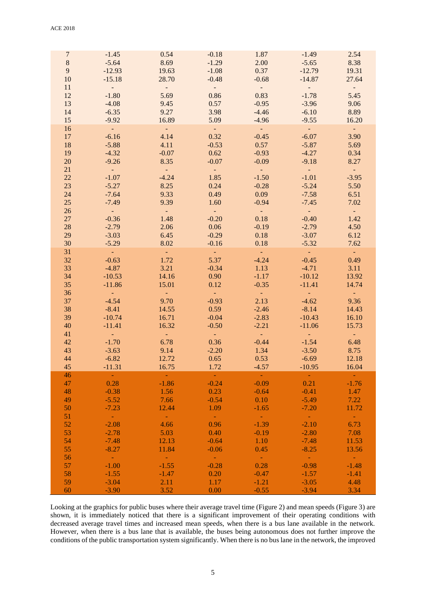| $\overline{7}$ | $-1.45$             | 0.54                | $-0.18$                     | 1.87            | $-1.49$                     | 2.54                        |
|----------------|---------------------|---------------------|-----------------------------|-----------------|-----------------------------|-----------------------------|
| $\,8\,$        | $-5.64$             | 8.69                | $-1.29$                     | 2.00            | $-5.65$                     | 8.38                        |
| 9              | $-12.93$            | 19.63               | $-1.08$                     | 0.37            | $-12.79$                    | 19.31                       |
| 10             | $-15.18$            | 28.70               | $-0.48$                     | $-0.68$         | $-14.87$                    | 27.64                       |
| 11             | $\sim 10^{-10}$     | $\frac{1}{2}$       | $\sim$ $-$                  | $\sim 10^{-10}$ | $\frac{1}{2}$               | $\omega_{\rm{eff}}$         |
| 12             |                     |                     |                             |                 |                             |                             |
|                | $-1.80$             | 5.69                | 0.86                        | 0.83            | $-1.78$                     | 5.45                        |
| 13             | $-4.08$             | 9.45                | 0.57                        | $-0.95$         | $-3.96$                     | 9.06                        |
| 14             | $-6.35$             | 9.27                | 3.98                        | $-4.46$         | $-6.10$                     | 8.89                        |
| 15             | $-9.92$             | 16.89               | 5.09                        | $-4.96$         | $-9.55$                     | 16.20                       |
| 16             | $\sim 10^{-1}$      | $\sim 10^{-1}$      | $\sim 10^{-1}$              | $\sim 10^{-1}$  | $\sim 10^{-1}$              | $\sim 10^{-1}$              |
| 17             | $-6.16$             | 4.14                | 0.32                        | $-0.45$         | $-6.07$                     | 3.90                        |
| 18             | $-5.88$             | 4.11                | $-0.53$                     | 0.57            | $-5.87$                     | 5.69                        |
| 19             | $-4.32$             | $-0.07$             | 0.62                        | $-0.93$         | $-4.27$                     | 0.34                        |
| 20             | $-9.26$             | 8.35                | $-0.07$                     | $-0.09$         | $-9.18$                     | 8.27                        |
| 21             | $\sim 10^{-1}$      | $\omega_{\rm{eff}}$ | $\alpha \rightarrow \alpha$ |                 | $\sim 10^{-1}$              | $\alpha \rightarrow \alpha$ |
| 22             | $-1.07$             | $-4.24$             | 1.85                        | $-1.50$         | $-1.01$                     | $-3.95$                     |
| 23             | $-5.27$             | 8.25                | 0.24                        | $-0.28$         | $-5.24$                     | 5.50                        |
| 24             |                     | 9.33                |                             |                 |                             |                             |
|                | $-7.64$             |                     | 0.49                        | 0.09            | $-7.58$                     | 6.51                        |
| 25             | $-7.49$             | 9.39                | 1.60                        | $-0.94$         | $-7.45$                     | 7.02                        |
| 26             | $\sim 10^{-1}$      | $\omega_{\rm{eff}}$ | $\sim$ $ \sim$              | $\sim$ $^{-1}$  | $\sim$ $ \sim$              | $\omega_{\rm{eff}}$         |
| $27\,$         | $-0.36$             | 1.48                | $-0.20$                     | 0.18            | $-0.40$                     | 1.42                        |
| 28             | $-2.79$             | 2.06                | 0.06                        | $-0.19$         | $-2.79$                     | 4.50                        |
| 29             | $-3.03$             | 6.45                | $-0.29$                     | 0.18            | $-3.07$                     | 6.12                        |
| 30             | $-5.29$             | 8.02                | $-0.16$                     | 0.18            | $-5.32$                     | 7.62                        |
| 31             | $\sim 10^{-1}$      | $\sim$ $-$          | $\sim 10^{-1}$              | $\sim 10^{-1}$  | $\sim 100$                  | $\omega_{\rm{eff}}$         |
| 32             | $-0.63$             | 1.72                | 5.37                        | $-4.24$         | $-0.45$                     | 0.49                        |
| 33             | $-4.87$             | 3.21                | $-0.34$                     | 1.13            | $-4.71$                     | 3.11                        |
| 34             | $-10.53$            | 14.16               | 0.90                        | $-1.17$         | $-10.12$                    | 13.92                       |
| 35             | $-11.86$            | 15.01               | 0.12                        | $-0.35$         | $-11.41$                    | 14.74                       |
| 36             | $\sim 10^{-1}$      | $\omega_{\rm c}$    | $\sim$                      | $\sim$ .        |                             | $\omega_{\rm{eff}}$         |
| 37             | $-4.54$             | 9.70                | $-0.93$                     | 2.13            | $-4.62$                     | 9.36                        |
|                |                     |                     |                             |                 |                             |                             |
| 38             | $-8.41$             | 14.55               | 0.59                        | $-2.46$         | $-8.14$                     | 14.43                       |
| 39             | $-10.74$            | 16.71               | $-0.04$                     | $-2.83$         | $-10.43$                    | 16.10                       |
| 40             | $-11.41$            | 16.32               | $-0.50$                     | $-2.21$         | $-11.06$                    | 15.73                       |
| 41             |                     | $\sim 10^{-1}$      | $\sim 10^{-1}$              | $\sim 10^{-1}$  | $\alpha \rightarrow \alpha$ | $\omega_{\rm c}$            |
| 42             | $-1.70$             | 6.78                | 0.36                        | $-0.44$         | $-1.54$                     | 6.48                        |
| 43             | $-3.63$             | 9.14                | $-2.20$                     | 1.34            | $-3.50$                     | 8.75                        |
| 44             | $-6.82$             | 12.72               | 0.65                        | 0.53            | $-6.69$                     | 12.18                       |
| 45             | $-11.31$            | 16.75               | 1.72                        | $-4.57$         | $-10.95$                    | 16.04                       |
| 46             | $\sim 10$           |                     | $\sim$ $-$                  |                 | $\sim$ $-$                  |                             |
| 47             | 0.28                | $-1.86$             | $-0.24$                     | $-0.09$         | 0.21                        | $-1.76$                     |
| 48             | $-0.38$             | 1.56                | 0.23                        | $-0.64$         | $-0.41$                     | 1.47                        |
| 49             | $-5.52$             | 7.66                | $-0.54$                     | 0.10            | $-5.49$                     | 7.22                        |
| 50             | $-7.23$             | 12.44               | 1.09                        | $-1.65$         | $-7.20$                     | 11.72                       |
| 51             | $\sim$ $\sim$       | $\sim$ $^{-1}$      | $\sim$ $-$                  | $\sim 10^{-1}$  | $\sim 10^{-1}$              | $\omega_{\rm{eff}}$         |
| 52             | $-2.08$             | 4.66                | 0.96                        | $-1.39$         | $-2.10$                     | 6.73                        |
|                |                     |                     |                             |                 |                             |                             |
| 53             | $-2.78$             | 5.03                | 0.40                        | $-0.19$         | $-2.80$                     | 7.08                        |
| 54             | $-7.48$             | 12.13               | $-0.64$                     | 1.10            | $-7.48$                     | 11.53                       |
| 55             | $-8.27$             | 11.84               | $-0.06$                     | 0.45            | $-8.25$                     | 13.56                       |
| 56             | $\omega_{\rm{eff}}$ | $\sim 10^7$         | $\alpha \rightarrow \alpha$ | $\sim 10^{-1}$  | $\sim 10^{-1}$              |                             |
| 57             | $-1.00$             | $-1.55$             | $-0.28$                     | 0.28            | $-0.98$                     | $-1.48$                     |
| 58             | $-1.55$             | $-1.47$             | 0.20                        | $-0.47$         | $-1.57$                     | $-1.41$                     |
| 59             | $-3.04$             | 2.11                | 1.17                        | $-1.21$         | $-3.05$                     | 4.48                        |
| 60             | $-3.90$             | 3.52                | 0.00                        | $-0.55$         | $-3.94$                     | 3.34                        |

Looking at the graphics for public buses where their average travel time (Figure 2) and mean speeds (Figure 3) are shown, it is immediately noticed that there is a significant improvement of their operating conditions with decreased average travel times and increased mean speeds, when there is a bus lane available in the network. However, when there is a bus lane that is available, the buses being autonomous does not further improve the conditions of the public transportation system significantly. When there is no bus lane in the network, the improved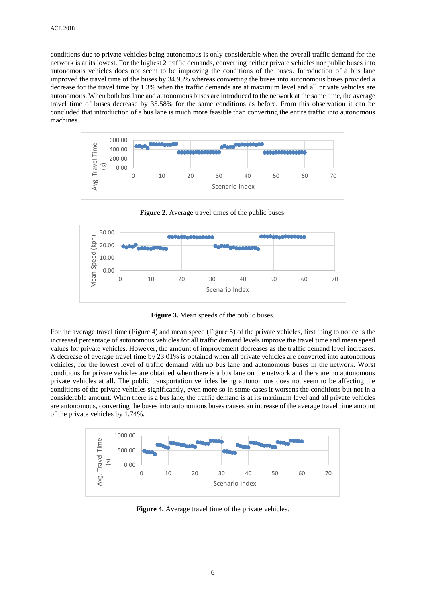conditions due to private vehicles being autonomous is only considerable when the overall traffic demand for the network is at its lowest. For the highest 2 traffic demands, converting neither private vehicles nor public buses into autonomous vehicles does not seem to be improving the conditions of the buses. Introduction of a bus lane improved the travel time of the buses by 34.95% whereas converting the buses into autonomous buses provided a decrease for the travel time by 1.3% when the traffic demands are at maximum level and all private vehicles are autonomous. When both bus lane and autonomous buses are introduced to the network at the same time, the average travel time of buses decrease by 35.58% for the same conditions as before. From this observation it can be concluded that introduction of a bus lane is much more feasible than converting the entire traffic into autonomous machines.



**Figure 2.** Average travel times of the public buses.



**Figure 3.** Mean speeds of the public buses.

For the average travel time (Figure 4) and mean speed (Figure 5) of the private vehicles, first thing to notice is the increased percentage of autonomous vehicles for all traffic demand levels improve the travel time and mean speed values for private vehicles. However, the amount of improvement decreases as the traffic demand level increases. A decrease of average travel time by 23.01% is obtained when all private vehicles are converted into autonomous vehicles, for the lowest level of traffic demand with no bus lane and autonomous buses in the network. Worst conditions for private vehicles are obtained when there is a bus lane on the network and there are no autonomous private vehicles at all. The public transportation vehicles being autonomous does not seem to be affecting the conditions of the private vehicles significantly, even more so in some cases it worsens the conditions but not in a considerable amount. When there is a bus lane, the traffic demand is at its maximum level and all private vehicles are autonomous, converting the buses into autonomous buses causes an increase of the average travel time amount of the private vehicles by 1.74%.



**Figure 4.** Average travel time of the private vehicles.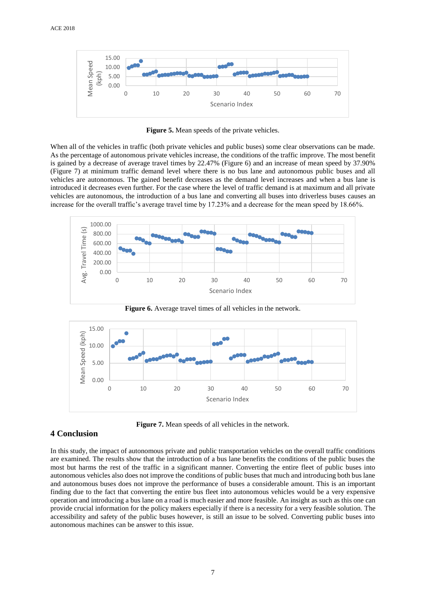

**Figure 5.** Mean speeds of the private vehicles.

When all of the vehicles in traffic (both private vehicles and public buses) some clear observations can be made. As the percentage of autonomous private vehicles increase, the conditions of the traffic improve. The most benefit is gained by a decrease of average travel times by 22.47% (Figure 6) and an increase of mean speed by 37.90% (Figure 7) at minimum traffic demand level where there is no bus lane and autonomous public buses and all vehicles are autonomous. The gained benefit decreases as the demand level increases and when a bus lane is introduced it decreases even further. For the case where the level of traffic demand is at maximum and all private vehicles are autonomous, the introduction of a bus lane and converting all buses into driverless buses causes an increase for the overall traffic's average travel time by 17.23% and a decrease for the mean speed by 18.66%.



**Figure 6.** Average travel times of all vehicles in the network.



**Figure 7.** Mean speeds of all vehicles in the network.

### **4 Conclusion**

In this study, the impact of autonomous private and public transportation vehicles on the overall traffic conditions are examined. The results show that the introduction of a bus lane benefits the conditions of the public buses the most but harms the rest of the traffic in a significant manner. Converting the entire fleet of public buses into autonomous vehicles also does not improve the conditions of public buses that much and introducing both bus lane and autonomous buses does not improve the performance of buses a considerable amount. This is an important finding due to the fact that converting the entire bus fleet into autonomous vehicles would be a very expensive operation and introducing a bus lane on a road is much easier and more feasible. An insight as such as this one can provide crucial information for the policy makers especially if there is a necessity for a very feasible solution. The accessibility and safety of the public buses however, is still an issue to be solved. Converting public buses into autonomous machines can be answer to this issue.